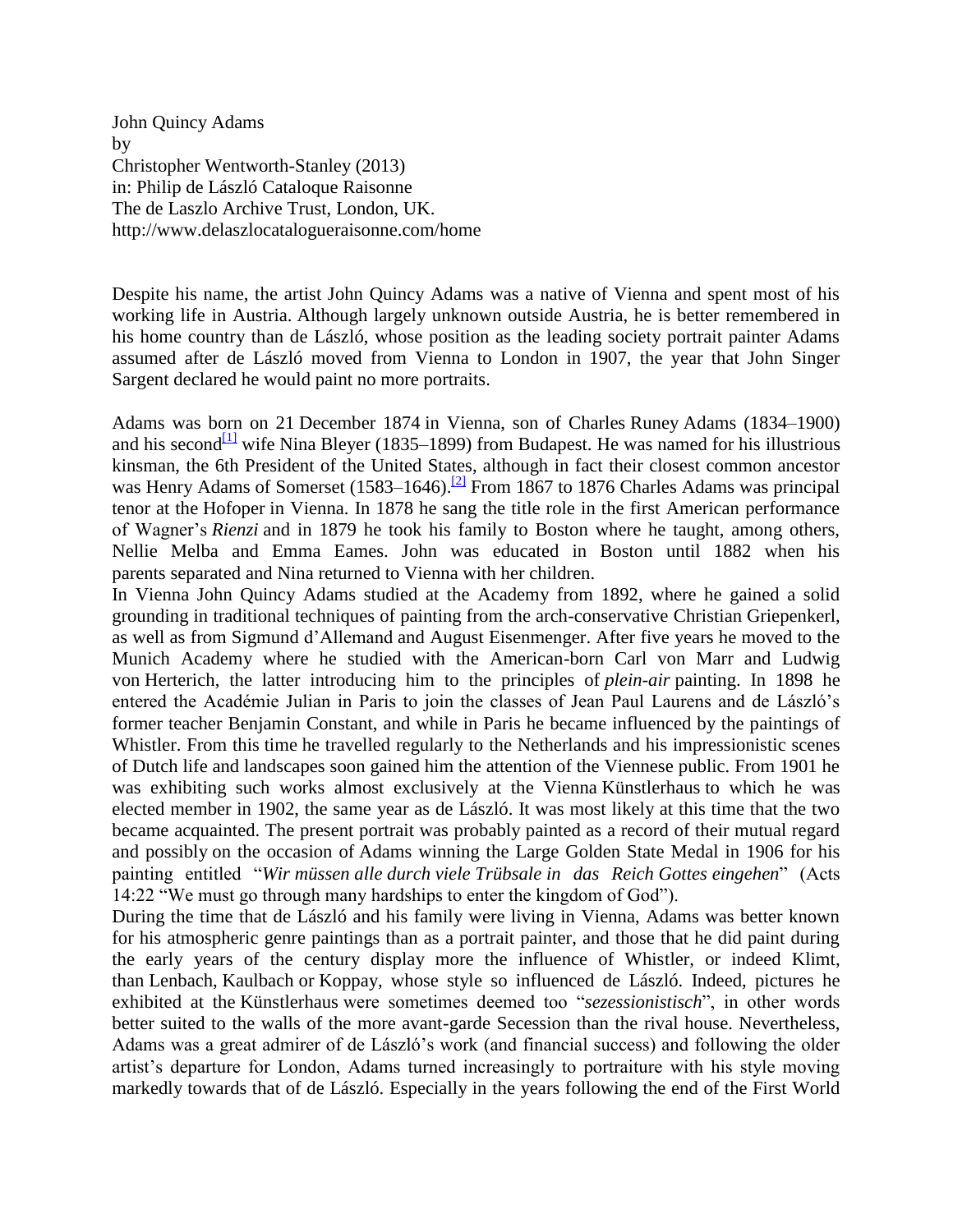John Quincy Adams by Christopher Wentworth-Stanley (2013) in: Philip de László Cataloque Raisonne The de Laszlo Archive Trust, London, UK. http://www.delaszlocatalogueraisonne.com/home

Despite his name, the artist John Quincy Adams was a native of Vienna and spent most of his working life in Austria. Although largely unknown outside Austria, he is better remembered in his home country than de László, whose position as the leading society portrait painter Adams assumed after de László moved from Vienna to London in 1907, the year that John Singer Sargent declared he would paint no more portraits.

Adams was born on 21 December 1874 in Vienna, son of Charles Runey Adams (1834–1900) and his second<sup>[\[1\]](https://docs.google.com/document/d/1BlEXws-TxHH5owvTQ8nIuSZhZbNwoDPVUN37Rdp6zAU/pub?embedded=true#ftnt1)</sup> wife Nina Bleyer (1835–1899) from Budapest. He was named for his illustrious kinsman, the 6th President of the United States, although in fact their closest common ancestor was Henry Adams of Somerset (1583–1646).<sup>[\[2\]](https://docs.google.com/document/d/1BlEXws-TxHH5owvTQ8nIuSZhZbNwoDPVUN37Rdp6zAU/pub?embedded=true#ftnt2)</sup> From 1867 to 1876 Charles Adams was principal tenor at the Hofoper in Vienna. In 1878 he sang the title role in the first American performance of Wagner's *Rienzi* and in 1879 he took his family to Boston where he taught, among others, Nellie Melba and Emma Eames. John was educated in Boston until 1882 when his parents separated and Nina returned to Vienna with her children.

In Vienna John Quincy Adams studied at the Academy from 1892, where he gained a solid grounding in traditional techniques of painting from the arch-conservative Christian Griepenkerl, as well as from Sigmund d'Allemand and August Eisenmenger. After five years he moved to the Munich Academy where he studied with the American-born Carl von Marr and Ludwig von Herterich, the latter introducing him to the principles of *plein-air* painting. In 1898 he entered the Académie Julian in Paris to join the classes of Jean Paul Laurens and de László's former teacher Benjamin Constant, and while in Paris he became influenced by the paintings of Whistler. From this time he travelled regularly to the Netherlands and his impressionistic scenes of Dutch life and landscapes soon gained him the attention of the Viennese public. From 1901 he was exhibiting such works almost exclusively at the Vienna Künstlerhaus to which he was elected member in 1902, the same year as de László. It was most likely at this time that the two became acquainted. The present portrait was probably painted as a record of their mutual regard and possibly on the occasion of Adams winning the Large Golden State Medal in 1906 for his painting entitled "*Wir müssen alle durch viele Trübsale in das Reich Gottes eingehen*" (Acts 14:22 "We must go through many hardships to enter the kingdom of God").

During the time that de László and his family were living in Vienna, Adams was better known for his atmospheric genre paintings than as a portrait painter, and those that he did paint during the early years of the century display more the influence of Whistler, or indeed Klimt, than Lenbach, Kaulbach or Koppay, whose style so influenced de László. Indeed, pictures he exhibited at the Künstlerhaus were sometimes deemed too "*sezessionistisch*", in other words better suited to the walls of the more avant-garde Secession than the rival house. Nevertheless, Adams was a great admirer of de László's work (and financial success) and following the older artist's departure for London, Adams turned increasingly to portraiture with his style moving markedly towards that of de László. Especially in the years following the end of the First World